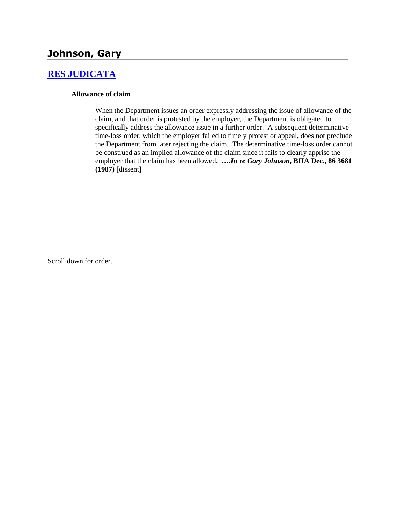## **Johnson, Gary**

### **[RES JUDICATA](http://www.biia.wa.gov/SDSubjectIndex.html#RES_JUDICATA)**

#### **Allowance of claim**

When the Department issues an order expressly addressing the issue of allowance of the claim, and that order is protested by the employer, the Department is obligated to specifically address the allowance issue in a further order. A subsequent determinative time-loss order, which the employer failed to timely protest or appeal, does not preclude the Department from later rejecting the claim. The determinative time-loss order cannot be construed as an implied allowance of the claim since it fails to clearly apprise the employer that the claim has been allowed. **….***In re Gary Johnson***, BIIA Dec., 86 3681 (1987)** [dissent]

Scroll down for order.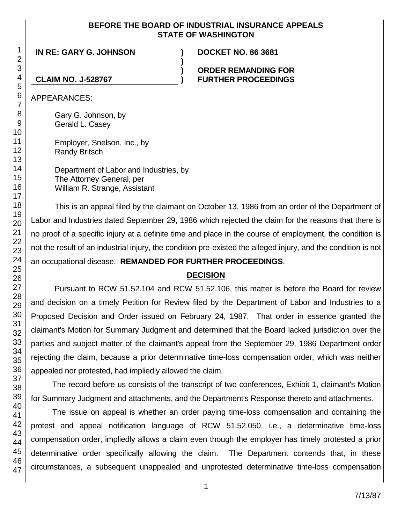### **BEFORE THE BOARD OF INDUSTRIAL INSURANCE APPEALS STATE OF WASHINGTON**

**)**

**) )**

**IN RE: GARY G. JOHNSON ) DOCKET NO. 86 3681**

#### **ORDER REMANDING FOR FURTHER PROCEEDINGS**

**CLAIM NO. J-528767**

APPEARANCES:

Gary G. Johnson, by Gerald L. Casey

Employer, Snelson, Inc., by Randy Britsch

Department of Labor and Industries, by The Attorney General, per William R. Strange, Assistant

This is an appeal filed by the claimant on October 13, 1986 from an order of the Department of Labor and Industries dated September 29, 1986 which rejected the claim for the reasons that there is no proof of a specific injury at a definite time and place in the course of employment, the condition is not the result of an industrial injury, the condition pre-existed the alleged injury, and the condition is not an occupational disease. **REMANDED FOR FURTHER PROCEEDINGS**.

## **DECISION**

Pursuant to RCW 51.52.104 and RCW 51.52.106, this matter is before the Board for review and decision on a timely Petition for Review filed by the Department of Labor and Industries to a Proposed Decision and Order issued on February 24, 1987. That order in essence granted the claimant's Motion for Summary Judgment and determined that the Board lacked jurisdiction over the parties and subject matter of the claimant's appeal from the September 29, 1986 Department order rejecting the claim, because a prior determinative time-loss compensation order, which was neither appealed nor protested, had impliedly allowed the claim.

The record before us consists of the transcript of two conferences, Exhibit 1, claimant's Motion for Summary Judgment and attachments, and the Department's Response thereto and attachments.

The issue on appeal is whether an order paying time-loss compensation and containing the protest and appeal notification language of RCW 51.52.050, i.e., a determinative time-loss compensation order, impliedly allows a claim even though the employer has timely protested a prior determinative order specifically allowing the claim. The Department contends that, in these circumstances, a subsequent unappealed and unprotested determinative time-loss compensation

1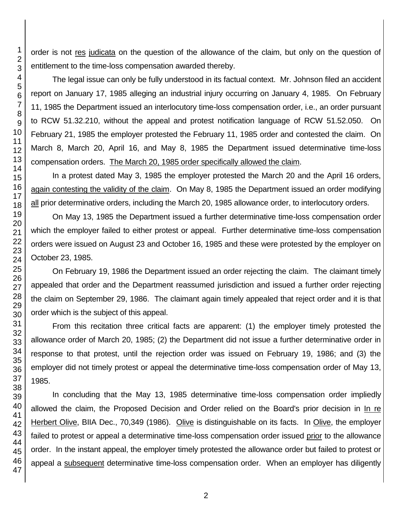order is not res judicata on the question of the allowance of the claim, but only on the question of entitlement to the time-loss compensation awarded thereby.

The legal issue can only be fully understood in its factual context. Mr. Johnson filed an accident report on January 17, 1985 alleging an industrial injury occurring on January 4, 1985. On February 11, 1985 the Department issued an interlocutory time-loss compensation order, i.e., an order pursuant to RCW 51.32.210, without the appeal and protest notification language of RCW 51.52.050. On February 21, 1985 the employer protested the February 11, 1985 order and contested the claim. On March 8, March 20, April 16, and May 8, 1985 the Department issued determinative time-loss compensation orders. The March 20, 1985 order specifically allowed the claim.

In a protest dated May 3, 1985 the employer protested the March 20 and the April 16 orders, again contesting the validity of the claim. On May 8, 1985 the Department issued an order modifying all prior determinative orders, including the March 20, 1985 allowance order, to interlocutory orders.

On May 13, 1985 the Department issued a further determinative time-loss compensation order which the employer failed to either protest or appeal. Further determinative time-loss compensation orders were issued on August 23 and October 16, 1985 and these were protested by the employer on October 23, 1985.

On February 19, 1986 the Department issued an order rejecting the claim. The claimant timely appealed that order and the Department reassumed jurisdiction and issued a further order rejecting the claim on September 29, 1986. The claimant again timely appealed that reject order and it is that order which is the subject of this appeal.

From this recitation three critical facts are apparent: (1) the employer timely protested the allowance order of March 20, 1985; (2) the Department did not issue a further determinative order in response to that protest, until the rejection order was issued on February 19, 1986; and (3) the employer did not timely protest or appeal the determinative time-loss compensation order of May 13, 1985.

In concluding that the May 13, 1985 determinative time-loss compensation order impliedly allowed the claim, the Proposed Decision and Order relied on the Board's prior decision in In re Herbert Olive, BIIA Dec., 70,349 (1986). Olive is distinguishable on its facts. In Olive, the employer failed to protest or appeal a determinative time-loss compensation order issued prior to the allowance order. In the instant appeal, the employer timely protested the allowance order but failed to protest or appeal a subsequent determinative time-loss compensation order. When an employer has diligently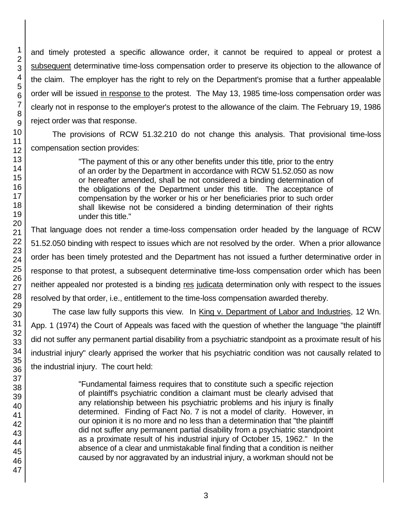and timely protested a specific allowance order, it cannot be required to appeal or protest a subsequent determinative time-loss compensation order to preserve its objection to the allowance of the claim. The employer has the right to rely on the Department's promise that a further appealable order will be issued in response to the protest. The May 13, 1985 time-loss compensation order was clearly not in response to the employer's protest to the allowance of the claim. The February 19, 1986 reject order was that response.

The provisions of RCW 51.32.210 do not change this analysis. That provisional time-loss compensation section provides:

> "The payment of this or any other benefits under this title, prior to the entry of an order by the Department in accordance with RCW 51.52.050 as now or hereafter amended, shall be not considered a binding determination of the obligations of the Department under this title. The acceptance of compensation by the worker or his or her beneficiaries prior to such order shall likewise not be considered a binding determination of their rights under this title."

That language does not render a time-loss compensation order headed by the language of RCW 51.52.050 binding with respect to issues which are not resolved by the order. When a prior allowance order has been timely protested and the Department has not issued a further determinative order in response to that protest, a subsequent determinative time-loss compensation order which has been neither appealed nor protested is a binding res judicata determination only with respect to the issues resolved by that order, i.e., entitlement to the time-loss compensation awarded thereby.

The case law fully supports this view. In King v. Department of Labor and Industries, 12 Wn. App. 1 (1974) the Court of Appeals was faced with the question of whether the language "the plaintiff did not suffer any permanent partial disability from a psychiatric standpoint as a proximate result of his industrial injury" clearly apprised the worker that his psychiatric condition was not causally related to the industrial injury. The court held:

> "Fundamental fairness requires that to constitute such a specific rejection of plaintiff's psychiatric condition a claimant must be clearly advised that any relationship between his psychiatric problems and his injury is finally determined. Finding of Fact No. 7 is not a model of clarity. However, in our opinion it is no more and no less than a determination that "the plaintiff did not suffer any permanent partial disability from a psychiatric standpoint as a proximate result of his industrial injury of October 15, 1962." In the absence of a clear and unmistakable final finding that a condition is neither caused by nor aggravated by an industrial injury, a workman should not be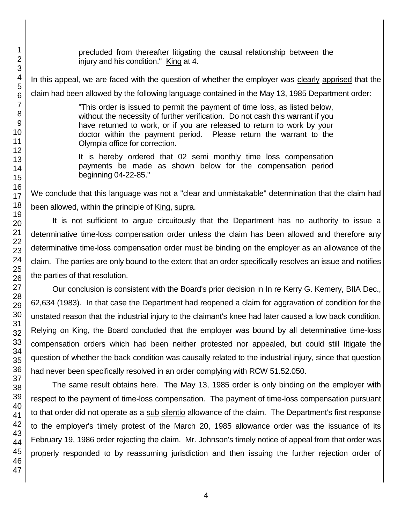precluded from thereafter litigating the causal relationship between the injury and his condition." King at 4.

In this appeal, we are faced with the question of whether the employer was clearly apprised that the claim had been allowed by the following language contained in the May 13, 1985 Department order:

> "This order is issued to permit the payment of time loss, as listed below, without the necessity of further verification. Do not cash this warrant if you have returned to work, or if you are released to return to work by your doctor within the payment period. Please return the warrant to the Olympia office for correction.

> It is hereby ordered that 02 semi monthly time loss compensation payments be made as shown below for the compensation period beginning 04-22-85."

We conclude that this language was not a "clear and unmistakable" determination that the claim had been allowed, within the principle of King, supra.

It is not sufficient to argue circuitously that the Department has no authority to issue a determinative time-loss compensation order unless the claim has been allowed and therefore any determinative time-loss compensation order must be binding on the employer as an allowance of the claim. The parties are only bound to the extent that an order specifically resolves an issue and notifies the parties of that resolution.

Our conclusion is consistent with the Board's prior decision in In re Kerry G. Kemery, BIIA Dec., 62,634 (1983). In that case the Department had reopened a claim for aggravation of condition for the unstated reason that the industrial injury to the claimant's knee had later caused a low back condition. Relying on King, the Board concluded that the employer was bound by all determinative time-loss compensation orders which had been neither protested nor appealed, but could still litigate the question of whether the back condition was causally related to the industrial injury, since that question had never been specifically resolved in an order complying with RCW 51.52.050.

The same result obtains here. The May 13, 1985 order is only binding on the employer with respect to the payment of time-loss compensation. The payment of time-loss compensation pursuant to that order did not operate as a sub silentio allowance of the claim. The Department's first response to the employer's timely protest of the March 20, 1985 allowance order was the issuance of its February 19, 1986 order rejecting the claim. Mr. Johnson's timely notice of appeal from that order was properly responded to by reassuming jurisdiction and then issuing the further rejection order of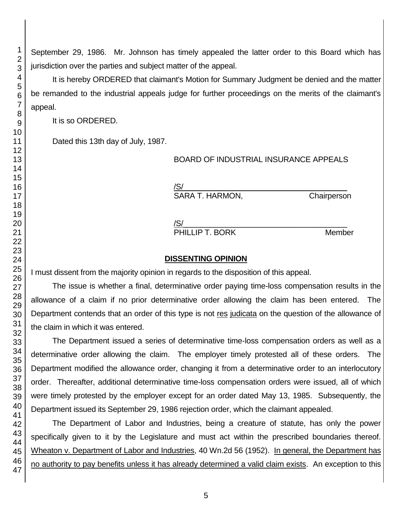September 29, 1986. Mr. Johnson has timely appealed the latter order to this Board which has jurisdiction over the parties and subject matter of the appeal.

It is hereby ORDERED that claimant's Motion for Summary Judgment be denied and the matter be remanded to the industrial appeals judge for further proceedings on the merits of the claimant's

It is so ORDERED.

Dated this 13th day of July, 1987.

BOARD OF INDUSTRIAL INSURANCE APPEALS

 $\sqrt{\text{S}}/\text{S}$ SARA T. HARMON, Chairperson

 $\sqrt{\text{S}}/\text{S}$ 

PHILLIP T. BORK Member

# **DISSENTING OPINION**

I must dissent from the majority opinion in regards to the disposition of this appeal.

The issue is whether a final, determinative order paying time-loss compensation results in the allowance of a claim if no prior determinative order allowing the claim has been entered. The Department contends that an order of this type is not res judicata on the question of the allowance of the claim in which it was entered.

The Department issued a series of determinative time-loss compensation orders as well as a determinative order allowing the claim. The employer timely protested all of these orders. The Department modified the allowance order, changing it from a determinative order to an interlocutory order. Thereafter, additional determinative time-loss compensation orders were issued, all of which were timely protested by the employer except for an order dated May 13, 1985. Subsequently, the Department issued its September 29, 1986 rejection order, which the claimant appealed.

The Department of Labor and Industries, being a creature of statute, has only the power specifically given to it by the Legislature and must act within the prescribed boundaries thereof. Wheaton v. Department of Labor and Industries, 40 Wn.2d 56 (1952). In general, the Department has no authority to pay benefits unless it has already determined a valid claim exists. An exception to this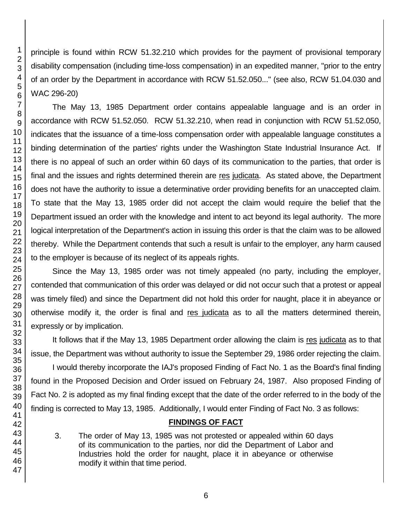46 47

1 2 3

principle is found within RCW 51.32.210 which provides for the payment of provisional temporary disability compensation (including time-loss compensation) in an expedited manner, "prior to the entry of an order by the Department in accordance with RCW 51.52.050..." (see also, RCW 51.04.030 and WAC 296-20)

The May 13, 1985 Department order contains appealable language and is an order in accordance with RCW 51.52.050. RCW 51.32.210, when read in conjunction with RCW 51.52.050, indicates that the issuance of a time-loss compensation order with appealable language constitutes a binding determination of the parties' rights under the Washington State Industrial Insurance Act. If there is no appeal of such an order within 60 days of its communication to the parties, that order is final and the issues and rights determined therein are res judicata. As stated above, the Department does not have the authority to issue a determinative order providing benefits for an unaccepted claim. To state that the May 13, 1985 order did not accept the claim would require the belief that the Department issued an order with the knowledge and intent to act beyond its legal authority. The more logical interpretation of the Department's action in issuing this order is that the claim was to be allowed thereby. While the Department contends that such a result is unfair to the employer, any harm caused to the employer is because of its neglect of its appeals rights.

Since the May 13, 1985 order was not timely appealed (no party, including the employer, contended that communication of this order was delayed or did not occur such that a protest or appeal was timely filed) and since the Department did not hold this order for naught, place it in abeyance or otherwise modify it, the order is final and res judicata as to all the matters determined therein, expressly or by implication.

It follows that if the May 13, 1985 Department order allowing the claim is res judicata as to that issue, the Department was without authority to issue the September 29, 1986 order rejecting the claim.

I would thereby incorporate the IAJ's proposed Finding of Fact No. 1 as the Board's final finding found in the Proposed Decision and Order issued on February 24, 1987. Also proposed Finding of Fact No. 2 is adopted as my final finding except that the date of the order referred to in the body of the finding is corrected to May 13, 1985. Additionally, I would enter Finding of Fact No. 3 as follows:

## **FINDINGS OF FACT**

3. The order of May 13, 1985 was not protested or appealed within 60 days of its communication to the parties, nor did the Department of Labor and Industries hold the order for naught, place it in abeyance or otherwise modify it within that time period.